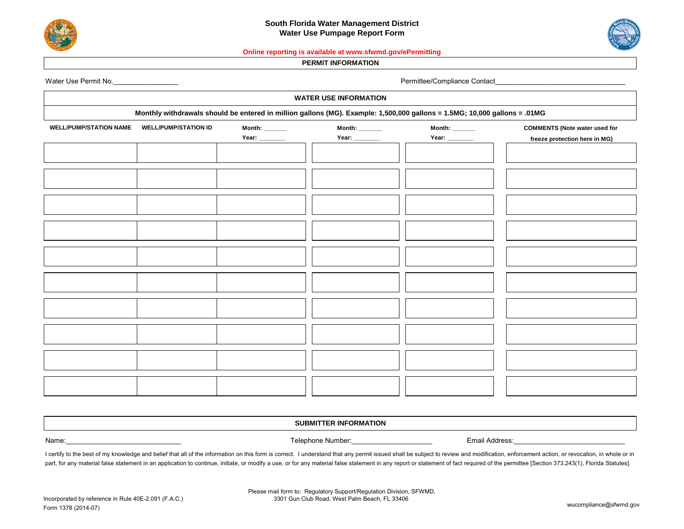



## **Online reporting is available at www.sfwmd.gov/ePermitting**

## **PERMIT INFORMATION**

| Water Use Permit No. |  |
|----------------------|--|
|----------------------|--|

Permittee/Compliance Contact\_

| <b>WATER USE INFORMATION</b>                                                                                              |                             |               |                          |               |                                      |  |  |
|---------------------------------------------------------------------------------------------------------------------------|-----------------------------|---------------|--------------------------|---------------|--------------------------------------|--|--|
| Monthly withdrawals should be entered in million gallons (MG). Example: 1,500,000 gallons = 1.5MG; 10,000 gallons = .01MG |                             |               |                          |               |                                      |  |  |
| <b>WELL/PUMP/STATION NAME</b>                                                                                             | <b>WELL/PUMP/STATION ID</b> | Month: $\_\_$ | <b>Month:</b> ______     | Month: $\_\_$ | <b>COMMENTS (Note water used for</b> |  |  |
|                                                                                                                           |                             |               | $\overline{\phantom{a}}$ |               | freeze protection here in MG)        |  |  |
|                                                                                                                           |                             |               |                          |               |                                      |  |  |
|                                                                                                                           |                             |               |                          |               |                                      |  |  |
|                                                                                                                           |                             |               |                          |               |                                      |  |  |
|                                                                                                                           |                             |               |                          |               |                                      |  |  |
|                                                                                                                           |                             |               |                          |               |                                      |  |  |
|                                                                                                                           |                             |               |                          |               |                                      |  |  |
|                                                                                                                           |                             |               |                          |               |                                      |  |  |
|                                                                                                                           |                             |               |                          |               |                                      |  |  |
|                                                                                                                           |                             |               |                          |               |                                      |  |  |
|                                                                                                                           |                             |               |                          |               |                                      |  |  |
|                                                                                                                           |                             |               |                          |               |                                      |  |  |
|                                                                                                                           |                             |               |                          |               |                                      |  |  |
|                                                                                                                           |                             |               |                          |               |                                      |  |  |
|                                                                                                                           |                             |               |                          |               |                                      |  |  |
|                                                                                                                           |                             |               |                          |               |                                      |  |  |
|                                                                                                                           |                             |               |                          |               |                                      |  |  |
|                                                                                                                           |                             |               |                          |               |                                      |  |  |

## **SUBMITTER INFORMATION**

Name:\_\_\_\_\_\_\_\_\_\_\_\_\_\_\_\_\_\_\_\_\_\_\_\_\_\_\_\_\_\_ Telephone Number:\_\_\_\_\_\_\_\_\_\_\_\_\_\_\_\_\_\_\_\_\_ Email Address:\_\_\_\_\_\_\_\_\_\_\_\_\_\_\_\_\_\_\_\_\_\_\_\_\_\_\_\_\_

I certify to the best of my knowledge and belief that all of the information on this form is correct. I understand that any permit issued shall be subject to review and modification, enforcement action, or revocation, in w part, for any material false statement in an application to continue, initiate, or modify a use, or for any material false statement in any report or statement of fact required of the permittee [Section 373.243(1), Florida